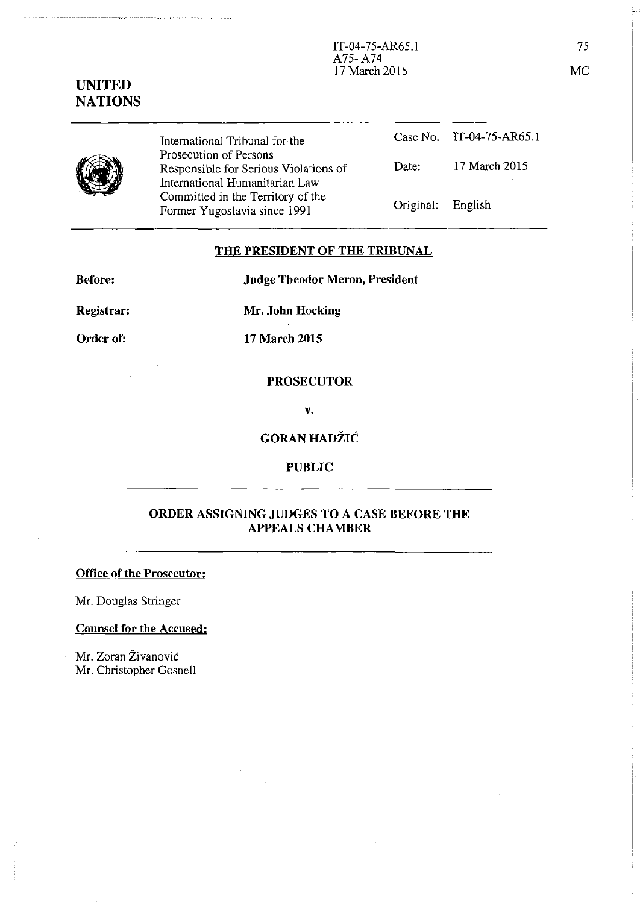# **UNITED NATIONS**

4

International Tribunal for the Prosecution of Persons Responsible for Serious Violations of International Humanitarian Law Committed in the Territory of the Former Yugoslavia since 1991

|                   | Case No. IT-04-75-AR65.1 |
|-------------------|--------------------------|
| Date:             | 17 March 2015            |
| Original: English |                          |

**THE PRESIDENT OF THE TRIBUNAL** 

**Before:** 

**Judge Theodor Meron, President** 

**Registrar:** 

**Mr. John Hocking** 

**Order of:** 

**17 March 2015** 

#### **PROSECUTOR**

**v.** 

# **GORAN HADZIC**

#### **PUBLIC**

## **ORDER ASSIGNING JUDGES TO A CASE BEFORE THE APPEALS CHAMBER**

#### **Office of the Prosecutor:**

Mr. Douglas Stringer

## **Counsel for the Accused:**

Mr. Zoran Živanović Mr. Christopher Gosnell

75